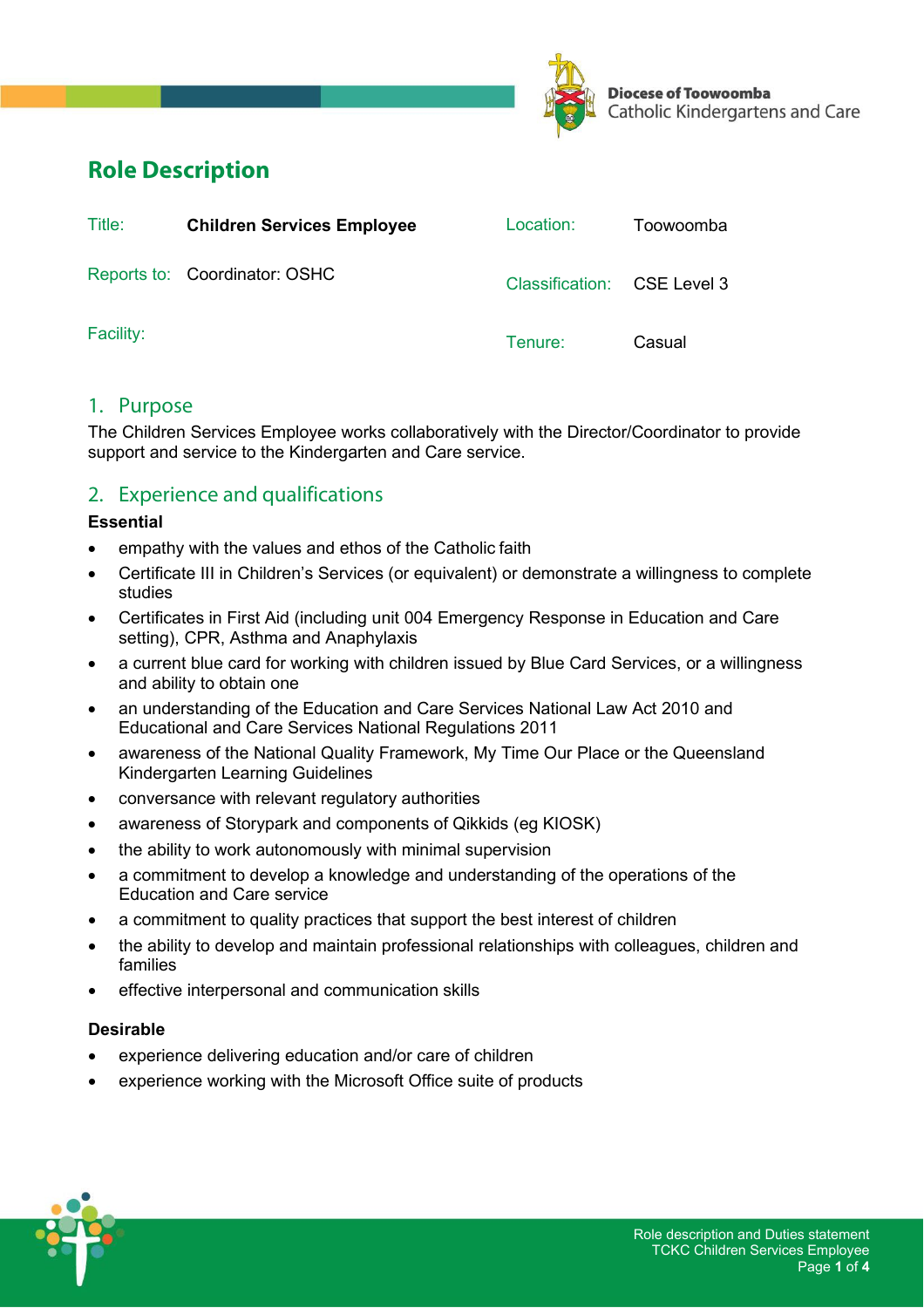

# **Role Description**

| Title:    | <b>Children Services Employee</b> | Location:                   | Toowoomba |
|-----------|-----------------------------------|-----------------------------|-----------|
|           | Reports to: Coordinator: OSHC     | Classification: CSE Level 3 |           |
| Facility: |                                   | Tenure:                     | Casual    |

## 1. Purpose

The Children Services Employee works collaboratively with the Director/Coordinator to provide support and service to the Kindergarten and Care service.

## 2. Experience and qualifications

#### **Essential**

- empathy with the values and ethos of the Catholic faith
- Certificate III in Children's Services (or equivalent) or demonstrate a willingness to complete studies
- Certificates in First Aid (including unit 004 Emergency Response in Education and Care setting), CPR, Asthma and Anaphylaxis
- a current blue card for working with children issued by Blue Card Services, or a willingness and ability to obtain one
- an understanding of the Education and Care Services National Law Act 2010 and Educational and Care Services National Regulations 2011
- awareness of the National Quality Framework, My Time Our Place or the Queensland Kindergarten Learning Guidelines
- conversance with relevant regulatory authorities
- awareness of Storypark and components of Qikkids (eg KIOSK)
- the ability to work autonomously with minimal supervision
- a commitment to develop a knowledge and understanding of the operations of the Education and Care service
- a commitment to quality practices that support the best interest of children
- the ability to develop and maintain professional relationships with colleagues, children and families
- effective interpersonal and communication skills

### **Desirable**

- experience delivering education and/or care of children
- experience working with the Microsoft Office suite of products

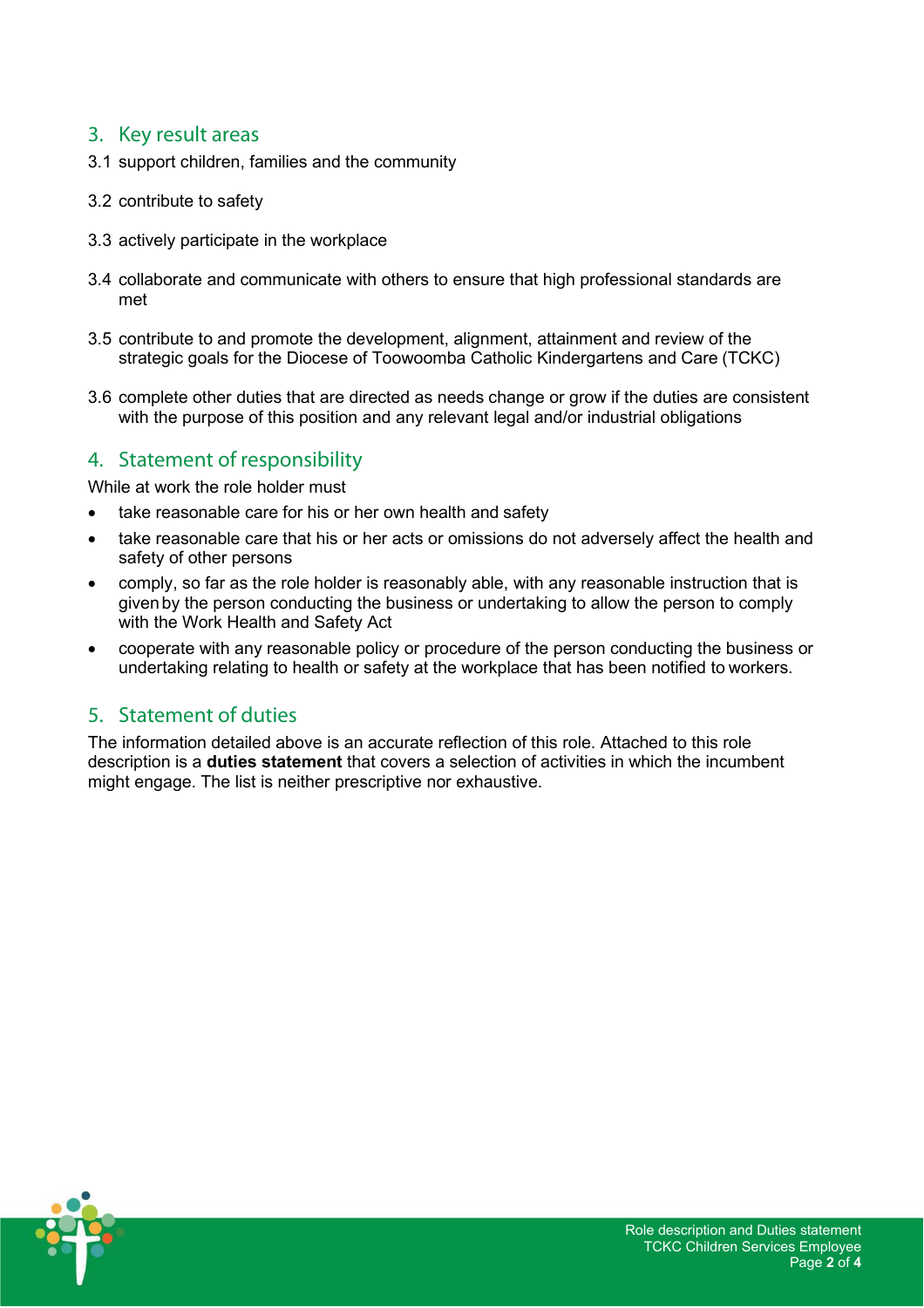## 3. Key result areas

- 3.1 support children, families and the community
- 3.2 contribute to safety
- 3.3 actively participate in the workplace
- 3.4 collaborate and communicate with others to ensure that high professional standards are met
- 3.5 contribute to and promote the development, alignment, attainment and review of the strategic goals for the Diocese of Toowoomba Catholic Kindergartens and Care (TCKC)
- 3.6 complete other duties that are directed as needs change or grow if the duties are consistent with the purpose of this position and any relevant legal and/or industrial obligations

## 4. Statement of responsibility

While at work the role holder must

- take reasonable care for his or her own health and safety
- take reasonable care that his or her acts or omissions do not adversely affect the health and safety of other persons
- comply, so far as the role holder is reasonably able, with any reasonable instruction that is given by the person conducting the business or undertaking to allow the person to comply with the Work Health and Safety Act
- cooperate with any reasonable policy or procedure of the person conducting the business or undertaking relating to health or safety at the workplace that has been notified to workers.

## 5. Statement of duties

The information detailed above is an accurate reflection of this role. Attached to this role description is a **duties statement** that covers a selection of activities in which the incumbent might engage. The list is neither prescriptive nor exhaustive.

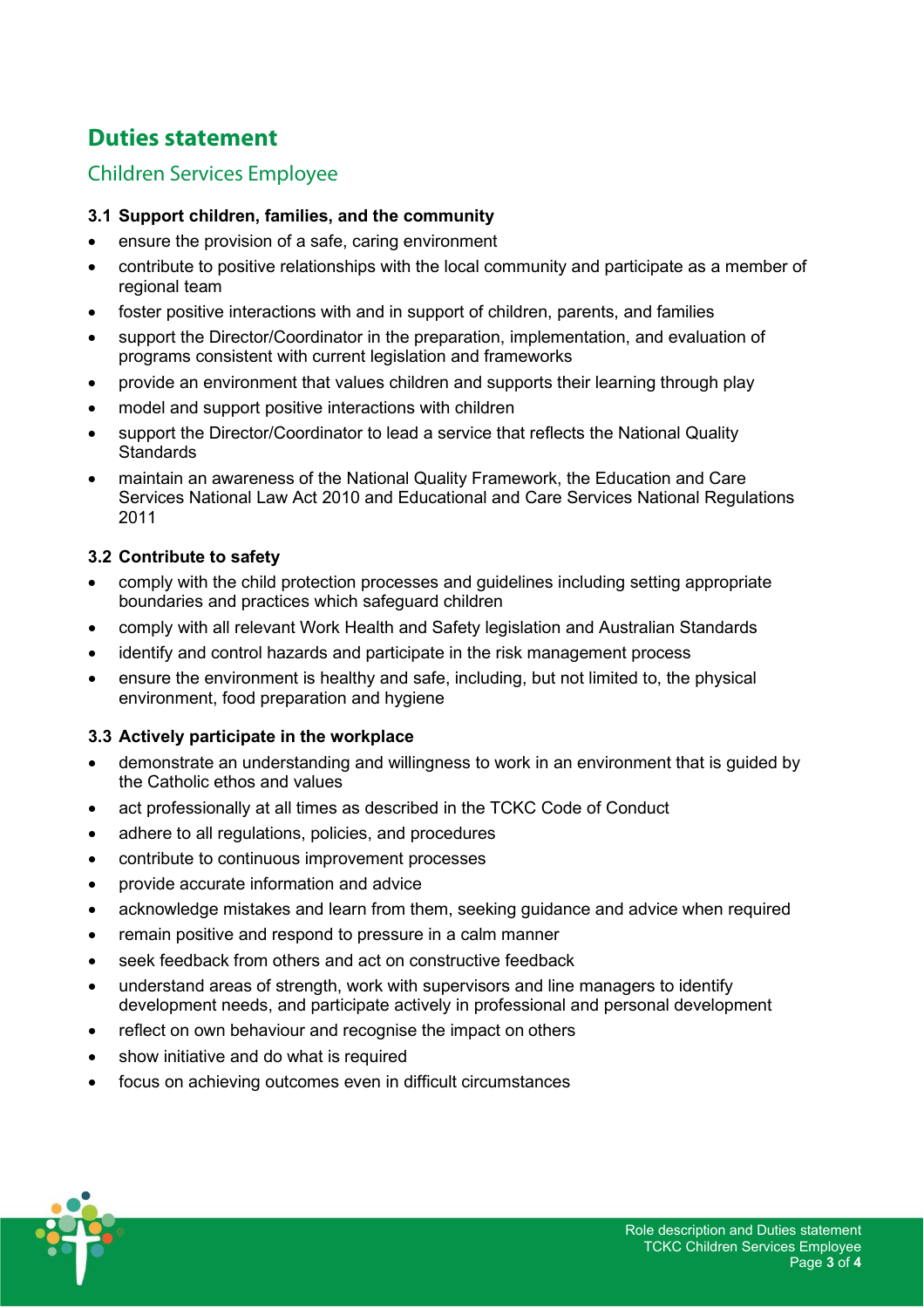# **Duties statement**

## Children Services Employee

### **3.1 Support children, families, and the community**

- ensure the provision of a safe, caring environment
- contribute to positive relationships with the local community and participate as a member of regional team
- foster positive interactions with and in support of children, parents, and families
- support the Director/Coordinator in the preparation, implementation, and evaluation of programs consistent with current legislation and frameworks
- provide an environment that values children and supports their learning through play
- model and support positive interactions with children
- support the Director/Coordinator to lead a service that reflects the National Quality **Standards**
- maintain an awareness of the National Quality Framework, the Education and Care Services National Law Act 2010 and Educational and Care Services National Regulations 2011

### **3.2 Contribute to safety**

- comply with the child protection processes and guidelines including setting appropriate boundaries and practices which safeguard children
- comply with all relevant Work Health and Safety legislation and Australian Standards
- identify and control hazards and participate in the risk management process
- ensure the environment is healthy and safe, including, but not limited to, the physical environment, food preparation and hygiene

### **3.3 Actively participate in the workplace**

- demonstrate an understanding and willingness to work in an environment that is guided by the Catholic ethos and values
- act professionally at all times as described in the TCKC Code of Conduct
- adhere to all regulations, policies, and procedures
- contribute to continuous improvement processes
- provide accurate information and advice
- acknowledge mistakes and learn from them, seeking guidance and advice when required
- remain positive and respond to pressure in a calm manner
- seek feedback from others and act on constructive feedback
- understand areas of strength, work with supervisors and line managers to identify development needs, and participate actively in professional and personal development
- reflect on own behaviour and recognise the impact on others
- show initiative and do what is required
- focus on achieving outcomes even in difficult circumstances